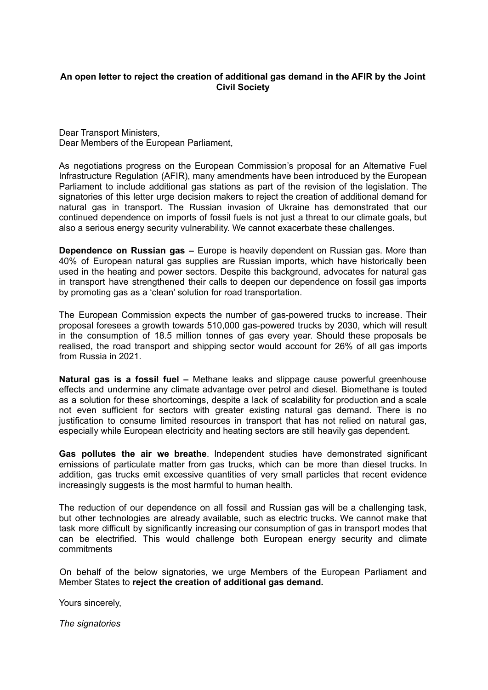## **An open letter to reject the creation of additional gas demand in the AFIR by the Joint Civil Society**

Dear Transport Ministers, Dear Members of the European Parliament,

As negotiations progress on the European Commission's proposal for an Alternative Fuel Infrastructure Regulation (AFIR), many amendments have been introduced by the European Parliament to include additional gas stations as part of the revision of the legislation. The signatories of this letter urge decision makers to reject the creation of additional demand for natural gas in transport. The Russian invasion of Ukraine has demonstrated that our continued dependence on imports of fossil fuels is not just a threat to our climate goals, but also a serious energy security vulnerability. We cannot exacerbate these challenges.

**Dependence on Russian gas –** Europe is heavily dependent on Russian gas. More than 40% of European natural gas supplies are Russian imports, which have historically been used in the heating and power sectors. Despite this background, advocates for natural gas in transport have strengthened their calls to deepen our dependence on fossil gas imports by promoting gas as a 'clean' solution for road transportation.

The European Commission expects the number of gas-powered trucks to increase. Their proposal foresees a growth towards 510,000 gas-powered trucks by 2030, which will result in the consumption of 18.5 million tonnes of gas every year. Should these proposals be realised, the road transport and shipping sector would account for 26% of all gas imports from Russia in 2021.

**Natural gas is a fossil fuel –** Methane leaks and slippage cause powerful greenhouse effects and undermine any climate advantage over petrol and diesel. Biomethane is touted as a solution for these shortcomings, despite a lack of scalability for production and a scale not even sufficient for sectors with greater existing natural gas demand. There is no iustification to consume limited resources in transport that has not relied on natural gas, especially while European electricity and heating sectors are still heavily gas dependent.

**Gas pollutes the air we breathe**. Independent studies have demonstrated significant emissions of particulate matter from gas trucks, which can be more than diesel trucks. In addition, gas trucks emit excessive quantities of very small particles that recent evidence increasingly suggests is the most harmful to human health.

The reduction of our dependence on all fossil and Russian gas will be a challenging task, but other technologies are already available, such as electric trucks. We cannot make that task more difficult by significantly increasing our consumption of gas in transport modes that can be electrified. This would challenge both European energy security and climate commitments

On behalf of the below signatories, we urge Members of the European Parliament and Member States to **reject the creation of additional gas demand.**

Yours sincerely,

*The signatories*